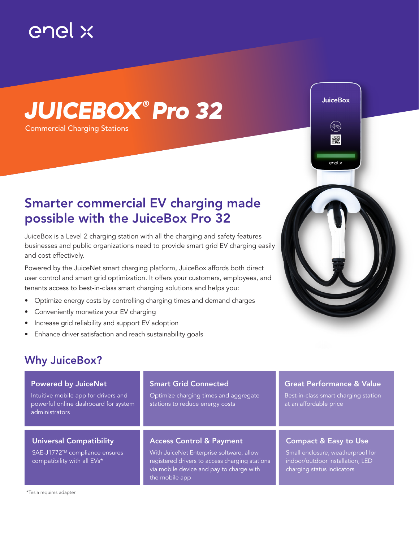

# *JUICEBOX ® Pro 32*

Commercial Charging Stations

## Smarter commercial EV charging made possible with the JuiceBox Pro 32

JuiceBox is a Level 2 charging station with all the charging and safety features businesses and public organizations need to provide smart grid EV charging easily and cost effectively.

Powered by the JuiceNet smart charging platform, JuiceBox affords both direct user control and smart grid optimization. It offers your customers, employees, and tenants access to best-in-class smart charging solutions and helps you:

- Optimize energy costs by controlling charging times and demand charges
- Conveniently monetize your EV charging
- Increase grid reliability and support EV adoption
- Enhance driver satisfaction and reach sustainability goals



### Why JuiceBox?

#### Powered by JuiceNet Intuitive mobile app for drivers and powerful online dashboard for system administrators Universal Compatibility SAE-J1772™ compliance ensures compatibility with all EVs\* Access Control & Payment With JuiceNet Enterprise software, allow registered drivers to access charging stations via mobile device and pay to charge with the mobile app Smart Grid Connected Optimize charging times and aggregate stations to reduce energy costs Compact & Easy to Use Small enclosure, weatherproof for indoor/outdoor installation, LED charging status indicators Great Performance & Value Best-in-class smart charging station at an affordable price

\*Tesla requires adapter